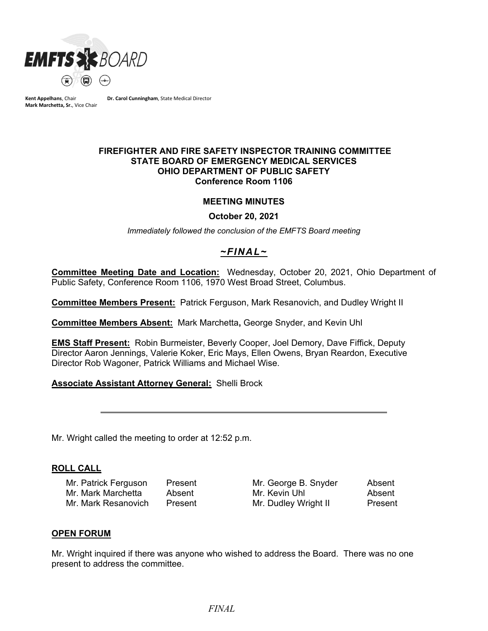

**Kent Appelhans**, Chair **Mark Marchetta, Sr.**, Vice Chair **Dr. Carol Cunningham**, State Medical Director

#### **FIREFIGHTER AND FIRE SAFETY INSPECTOR TRAINING COMMITTEE STATE BOARD OF EMERGENCY MEDICAL SERVICES OHIO DEPARTMENT OF PUBLIC SAFETY Conference Room 1106**

### **MEETING MINUTES**

**October 20, 2021**

*Immediately followed the conclusion of the EMFTS Board meeting*

# *~FINAL~*

**Committee Meeting Date and Location:** Wednesday, October 20, 2021, Ohio Department of Public Safety, Conference Room 1106, 1970 West Broad Street, Columbus.

**Committee Members Present:** Patrick Ferguson, Mark Resanovich, and Dudley Wright II

**Committee Members Absent:** Mark Marchetta**,** George Snyder, and Kevin Uhl

**EMS Staff Present:** Robin Burmeister, Beverly Cooper, Joel Demory, Dave Fiffick, Deputy Director Aaron Jennings, Valerie Koker, Eric Mays, Ellen Owens, Bryan Reardon, Executive Director Rob Wagoner, Patrick Williams and Michael Wise.

### **Associate Assistant Attorney General:** Shelli Brock

Mr. Wright called the meeting to order at 12:52 p.m.

### **ROLL CALL**

Mr. Patrick Ferguson Present Mr. George B. Snyder Absent Mr. Mark Marchetta Absent Mr. Kevin Uhl Absent Mr. Mark Resanovich Present Mr. Dudley Wright II Present

### **OPEN FORUM**

Mr. Wright inquired if there was anyone who wished to address the Board. There was no one present to address the committee.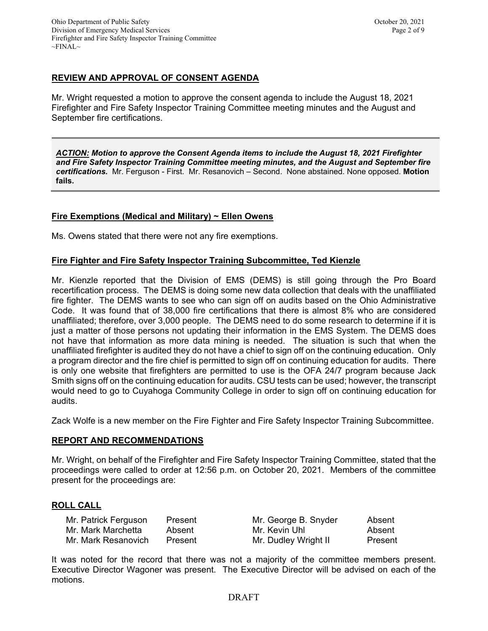# **REVIEW AND APPROVAL OF CONSENT AGENDA**

Mr. Wright requested a motion to approve the consent agenda to include the August 18, 2021 Firefighter and Fire Safety Inspector Training Committee meeting minutes and the August and September fire certifications.

*ACTION: Motion to approve the Consent Agenda items to include the August 18, 2021 Firefighter and Fire Safety Inspector Training Committee meeting minutes, and the August and September fire certifications.* Mr. Ferguson - First. Mr. Resanovich – Second. None abstained. None opposed. **Motion fails.**

# **Fire Exemptions (Medical and Military) ~ Ellen Owens**

Ms. Owens stated that there were not any fire exemptions.

# **Fire Fighter and Fire Safety Inspector Training Subcommittee, Ted Kienzle**

Mr. Kienzle reported that the Division of EMS (DEMS) is still going through the Pro Board recertification process. The DEMS is doing some new data collection that deals with the unaffiliated fire fighter. The DEMS wants to see who can sign off on audits based on the Ohio Administrative Code. It was found that of 38,000 fire certifications that there is almost 8% who are considered unaffiliated; therefore, over 3,000 people. The DEMS need to do some research to determine if it is just a matter of those persons not updating their information in the EMS System. The DEMS does not have that information as more data mining is needed. The situation is such that when the unaffiliated firefighter is audited they do not have a chief to sign off on the continuing education. Only a program director and the fire chief is permitted to sign off on continuing education for audits. There is only one website that firefighters are permitted to use is the OFA 24/7 program because Jack Smith signs off on the continuing education for audits. CSU tests can be used; however, the transcript would need to go to Cuyahoga Community College in order to sign off on continuing education for audits.

Zack Wolfe is a new member on the Fire Fighter and Fire Safety Inspector Training Subcommittee.

# **REPORT AND RECOMMENDATIONS**

Mr. Wright, on behalf of the Firefighter and Fire Safety Inspector Training Committee, stated that the proceedings were called to order at 12:56 p.m. on October 20, 2021. Members of the committee present for the proceedings are:

# **ROLL CALL**

| Mr. Patrick Ferguson | Present | Mr. George B. Snyder | Absent  |
|----------------------|---------|----------------------|---------|
| Mr. Mark Marchetta   | Absent  | Mr. Kevin Uhl        | Absent  |
| Mr. Mark Resanovich  | Present | Mr. Dudley Wright II | Present |

It was noted for the record that there was not a majority of the committee members present. Executive Director Wagoner was present. The Executive Director will be advised on each of the motions.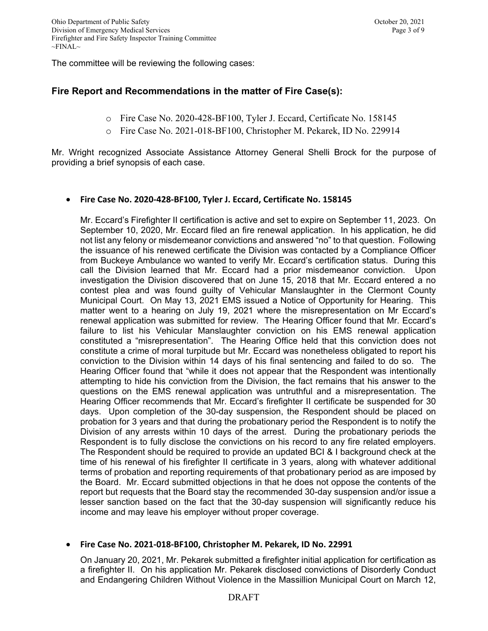The committee will be reviewing the following cases:

# **Fire Report and Recommendations in the matter of Fire Case(s):**

- o Fire Case No. 2020-428-BF100, Tyler J. Eccard, Certificate No. 158145
- o Fire Case No. 2021-018-BF100, Christopher M. Pekarek, ID No. 229914

Mr. Wright recognized Associate Assistance Attorney General Shelli Brock for the purpose of providing a brief synopsis of each case.

### • **Fire Case No. 2020-428-BF100, Tyler J. Eccard, Certificate No. 158145**

Mr. Eccard's Firefighter II certification is active and set to expire on September 11, 2023. On September 10, 2020, Mr. Eccard filed an fire renewal application. In his application, he did not list any felony or misdemeanor convictions and answered "no" to that question. Following the issuance of his renewed certificate the Division was contacted by a Compliance Officer from Buckeye Ambulance wo wanted to verify Mr. Eccard's certification status. During this call the Division learned that Mr. Eccard had a prior misdemeanor conviction. Upon investigation the Division discovered that on June 15, 2018 that Mr. Eccard entered a no contest plea and was found guilty of Vehicular Manslaughter in the Clermont County Municipal Court. On May 13, 2021 EMS issued a Notice of Opportunity for Hearing. This matter went to a hearing on July 19, 2021 where the misrepresentation on Mr Eccard's renewal application was submitted for review. The Hearing Officer found that Mr. Eccard's failure to list his Vehicular Manslaughter conviction on his EMS renewal application constituted a "misrepresentation". The Hearing Office held that this conviction does not constitute a crime of moral turpitude but Mr. Eccard was nonetheless obligated to report his conviction to the Division within 14 days of his final sentencing and failed to do so. The Hearing Officer found that "while it does not appear that the Respondent was intentionally attempting to hide his conviction from the Division, the fact remains that his answer to the questions on the EMS renewal application was untruthful and a misrepresentation. The Hearing Officer recommends that Mr. Eccard's firefighter II certificate be suspended for 30 days. Upon completion of the 30-day suspension, the Respondent should be placed on probation for 3 years and that during the probationary period the Respondent is to notify the Division of any arrests within 10 days of the arrest. During the probationary periods the Respondent is to fully disclose the convictions on his record to any fire related employers. The Respondent should be required to provide an updated BCI & I background check at the time of his renewal of his firefighter II certificate in 3 years, along with whatever additional terms of probation and reporting requirements of that probationary period as are imposed by the Board. Mr. Eccard submitted objections in that he does not oppose the contents of the report but requests that the Board stay the recommended 30-day suspension and/or issue a lesser sanction based on the fact that the 30-day suspension will significantly reduce his income and may leave his employer without proper coverage.

# • **Fire Case No. 2021-018-BF100, Christopher M. Pekarek, ID No. 22991**

On January 20, 2021, Mr. Pekarek submitted a firefighter initial application for certification as a firefighter II. On his application Mr. Pekarek disclosed convictions of Disorderly Conduct and Endangering Children Without Violence in the Massillion Municipal Court on March 12,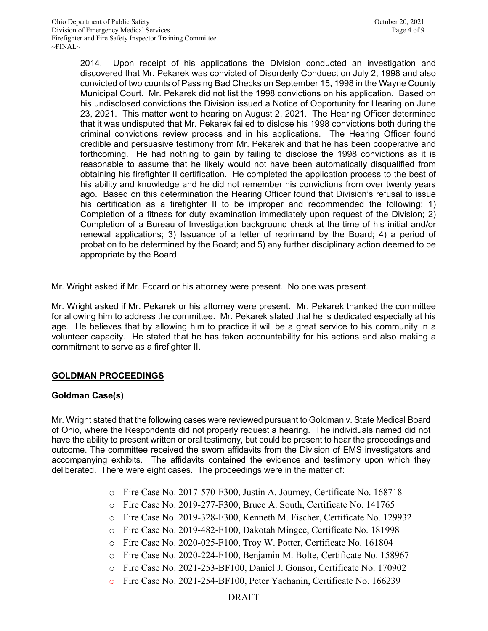2014. Upon receipt of his applications the Division conducted an investigation and discovered that Mr. Pekarek was convicted of Disorderly Conduect on July 2, 1998 and also convicted of two counts of Passing Bad Checks on September 15, 1998 in the Wayne County Municipal Court. Mr. Pekarek did not list the 1998 convictions on his application. Based on his undisclosed convictions the Division issued a Notice of Opportunity for Hearing on June 23, 2021. This matter went to hearing on August 2, 2021. The Hearing Officer determined that it was undisputed that Mr. Pekarek failed to dislose his 1998 convictions both during the criminal convictions review process and in his applications. The Hearing Officer found credible and persuasive testimony from Mr. Pekarek and that he has been cooperative and forthcoming. He had nothing to gain by failing to disclose the 1998 convictions as it is reasonable to assume that he likely would not have been automatically disqualified from obtaining his firefighter II certification. He completed the application process to the best of his ability and knowledge and he did not remember his convictions from over twenty years ago. Based on this determination the Hearing Officer found that Division's refusal to issue his certification as a firefighter II to be improper and recommended the following: 1) Completion of a fitness for duty examination immediately upon request of the Division; 2) Completion of a Bureau of Investigation background check at the time of his initial and/or renewal applications; 3) Issuance of a letter of reprimand by the Board; 4) a period of probation to be determined by the Board; and 5) any further disciplinary action deemed to be appropriate by the Board.

Mr. Wright asked if Mr. Eccard or his attorney were present. No one was present.

Mr. Wright asked if Mr. Pekarek or his attorney were present. Mr. Pekarek thanked the committee for allowing him to address the committee. Mr. Pekarek stated that he is dedicated especially at his age. He believes that by allowing him to practice it will be a great service to his community in a volunteer capacity. He stated that he has taken accountability for his actions and also making a commitment to serve as a firefighter II.

# **GOLDMAN PROCEEDINGS**

# **Goldman Case(s)**

Mr. Wright stated that the following cases were reviewed pursuant to Goldman v. State Medical Board of Ohio, where the Respondents did not properly request a hearing. The individuals named did not have the ability to present written or oral testimony, but could be present to hear the proceedings and outcome. The committee received the sworn affidavits from the Division of EMS investigators and accompanying exhibits. The affidavits contained the evidence and testimony upon which they deliberated. There were eight cases. The proceedings were in the matter of:

- o Fire Case No. 2017-570-F300, Justin A. Journey, Certificate No. 168718
- o Fire Case No. 2019-277-F300, Bruce A. South, Certificate No. 141765
- o Fire Case No. 2019-328-F300, Kenneth M. Fischer, Certificate No. 129932
- o Fire Case No. 2019-482-F100, Dakotah Mingee, Certificate No. 181998
- o Fire Case No. 2020-025-F100, Troy W. Potter, Certificate No. 161804
- o Fire Case No. 2020-224-F100, Benjamin M. Bolte, Certificate No. 158967
- o Fire Case No. 2021-253-BF100, Daniel J. Gonsor, Certificate No. 170902
- o Fire Case No. 2021-254-BF100, Peter Yachanin, Certificate No. 166239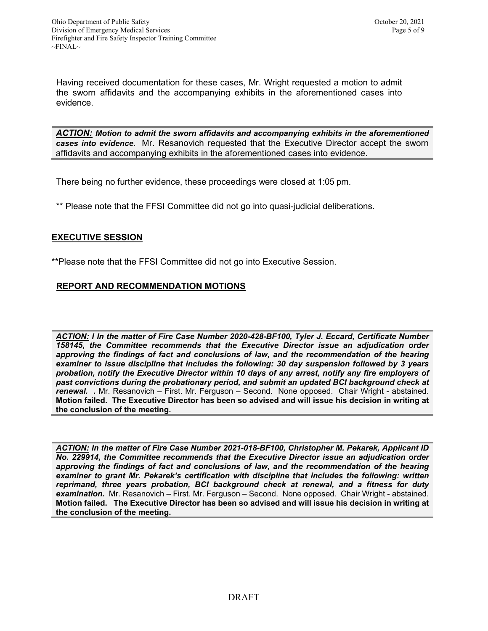Having received documentation for these cases, Mr. Wright requested a motion to admit the sworn affidavits and the accompanying exhibits in the aforementioned cases into evidence.

*ACTION: Motion to admit the sworn affidavits and accompanying exhibits in the aforementioned cases into evidence.* Mr. Resanovich requested that the Executive Director accept the sworn affidavits and accompanying exhibits in the aforementioned cases into evidence.

There being no further evidence, these proceedings were closed at 1:05 pm.

\*\* Please note that the FFSI Committee did not go into quasi-judicial deliberations.

# **EXECUTIVE SESSION**

\*\*Please note that the FFSI Committee did not go into Executive Session.

# **REPORT AND RECOMMENDATION MOTIONS**

*ACTION: I In the matter of Fire Case Number 2020-428-BF100, Tyler J. Eccard, Certificate Number 158145, the Committee recommends that the Executive Director issue an adjudication order approving the findings of fact and conclusions of law, and the recommendation of the hearing examiner to issue discipline that includes the following: 30 day suspension followed by 3 years probation, notify the Executive Director within 10 days of any arrest, notify any fire employers of past convictions during the probationary period, and submit an updated BCI background check at renewal. .* Mr. Resanovich – First. Mr. Ferguson – Second. None opposed. Chair Wright - abstained. **Motion failed. The Executive Director has been so advised and will issue his decision in writing at the conclusion of the meeting.**

*ACTION: In the matter of Fire Case Number 2021-018-BF100, Christopher M. Pekarek, Applicant ID No. 229914, the Committee recommends that the Executive Director issue an adjudication order approving the findings of fact and conclusions of law, and the recommendation of the hearing examiner to grant Mr. Pekarek's certification with discipline that includes the following: written reprimand, three years probation, BCI background check at renewal, and a fitness for duty examination.* Mr. Resanovich – First. Mr. Ferguson – Second. None opposed. Chair Wright - abstained. **Motion failed. The Executive Director has been so advised and will issue his decision in writing at the conclusion of the meeting.**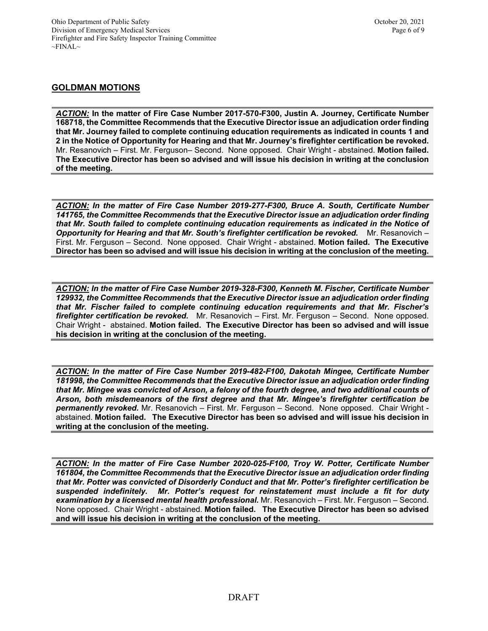### **GOLDMAN MOTIONS**

*ACTION:* **In the matter of Fire Case Number 2017-570-F300, Justin A. Journey, Certificate Number 168718, the Committee Recommends that the Executive Director issue an adjudication order finding that Mr. Journey failed to complete continuing education requirements as indicated in counts 1 and 2 in the Notice of Opportunity for Hearing and that Mr. Journey's firefighter certification be revoked.** Mr. Resanovich – First. Mr. Ferguson– Second. None opposed. Chair Wright - abstained. **Motion failed. The Executive Director has been so advised and will issue his decision in writing at the conclusion of the meeting.**

*ACTION: In the matter of Fire Case Number 2019-277-F300, Bruce A. South, Certificate Number 141765, the Committee Recommends that the Executive Director issue an adjudication order finding that Mr. South failed to complete continuing education requirements as indicated in the Notice of Opportunity for Hearing and that Mr. South's firefighter certification be revoked.* Mr. Resanovich – First. Mr. Ferguson – Second. None opposed. Chair Wright - abstained. **Motion failed. The Executive Director has been so advised and will issue his decision in writing at the conclusion of the meeting.**

*ACTION: In the matter of Fire Case Number 2019-328-F300, Kenneth M. Fischer, Certificate Number 129932, the Committee Recommends that the Executive Director issue an adjudication order finding that Mr. Fischer failed to complete continuing education requirements and that Mr. Fischer's firefighter certification be revoked.* Mr. Resanovich – First. Mr. Ferguson – Second. None opposed. Chair Wright - abstained. **Motion failed. The Executive Director has been so advised and will issue his decision in writing at the conclusion of the meeting.**

*ACTION: In the matter of Fire Case Number 2019-482-F100, Dakotah Mingee, Certificate Number 181998, the Committee Recommends that the Executive Director issue an adjudication order finding that Mr. Mingee was convicted of Arson, a felony of the fourth degree, and two additional counts of Arson, both misdemeanors of the first degree and that Mr. Mingee's firefighter certification be permanently revoked.* Mr. Resanovich – First. Mr. Ferguson – Second. None opposed. Chair Wright abstained. **Motion failed. The Executive Director has been so advised and will issue his decision in writing at the conclusion of the meeting.**

*ACTION: In the matter of Fire Case Number 2020-025-F100, Troy W. Potter, Certificate Number 161804, the Committee Recommends that the Executive Director issue an adjudication order finding that Mr. Potter was convicted of Disorderly Conduct and that Mr. Potter's firefighter certification be suspended indefinitely. Mr. Potter's request for reinstatement must include a fit for duty examination by a licensed mental health professional.* Mr. Resanovich – First. Mr. Ferguson – Second. None opposed. Chair Wright - abstained. **Motion failed. The Executive Director has been so advised and will issue his decision in writing at the conclusion of the meeting.**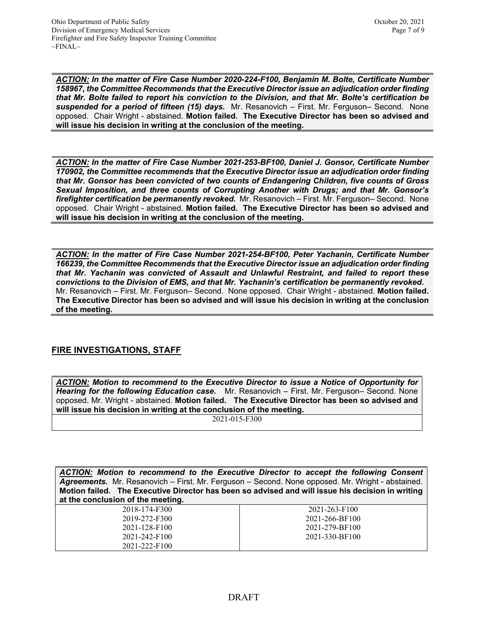*ACTION: In the matter of Fire Case Number 2020-224-F100, Benjamin M. Bolte, Certificate Number 158967, the Committee Recommends that the Executive Director issue an adjudication order finding that Mr. Bolte failed to report his conviction to the Division, and that Mr. Bolte's certification be suspended for a period of fifteen (15) days.* Mr. Resanovich – First. Mr. Ferguson– Second. None opposed. Chair Wright - abstained. **Motion failed. The Executive Director has been so advised and will issue his decision in writing at the conclusion of the meeting.** 

*ACTION: In the matter of Fire Case Number 2021-253-BF100, Daniel J. Gonsor, Certificate Number 170902, the Committee recommends that the Executive Director issue an adjudication order finding that Mr. Gonsor has been convicted of two counts of Endangering Children, five counts of Gross Sexual Imposition, and three counts of Corrupting Another with Drugs; and that Mr. Gonsor's firefighter certification be permanently revoked.* Mr. Resanovich – First. Mr. Ferguson– Second. None opposed. Chair Wright - abstained. **Motion failed. The Executive Director has been so advised and will issue his decision in writing at the conclusion of the meeting.**

*ACTION: In the matter of Fire Case Number 2021-254-BF100, Peter Yachanin, Certificate Number 166239, the Committee Recommends that the Executive Director issue an adjudication order finding that Mr. Yachanin was convicted of Assault and Unlawful Restraint, and failed to report these convictions to the Division of EMS, and that Mr. Yachanin's certification be permanently revoked.* Mr. Resanovich – First. Mr. Ferguson– Second. None opposed. Chair Wright - abstained. **Motion failed. The Executive Director has been so advised and will issue his decision in writing at the conclusion of the meeting.**

# **FIRE INVESTIGATIONS, STAFF**

*ACTION: Motion to recommend to the Executive Director to issue a Notice of Opportunity for Hearing for the following Education case.* Mr. Resanovich – First. Mr. Ferguson– Second. None opposed. Mr. Wright - abstained. **Motion failed. The Executive Director has been so advised and will issue his decision in writing at the conclusion of the meeting.**

2021-015-F300

*ACTION: Motion to recommend to the Executive Director to accept the following Consent Agreements.* Mr. Resanovich – First. Mr. Ferguson – Second. None opposed. Mr. Wright - abstained. **Motion failed. The Executive Director has been so advised and will issue his decision in writing at the conclusion of the meeting.**

| 2018-174-F300 | 2021-263-F100  |
|---------------|----------------|
| 2019-272-F300 | 2021-266-BF100 |
| 2021-128-F100 | 2021-279-BF100 |
| 2021-242-F100 | 2021-330-BF100 |
| 2021-222-F100 |                |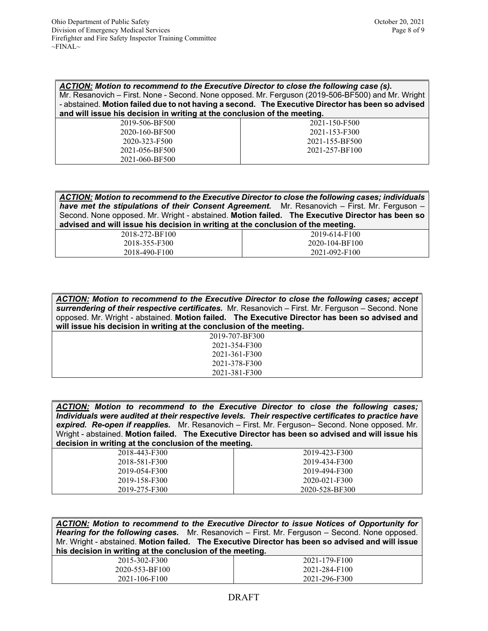| ACTION: Motion to recommend to the Executive Director to close the following case (s).<br>Mr. Resanovich – First. None - Second. None opposed. Mr. Ferguson (2019-506-BF500) and Mr. Wright<br>- abstained. Motion failed due to not having a second. The Executive Director has been so advised<br>and will issue his decision in writing at the conclusion of the meeting. |                |  |
|------------------------------------------------------------------------------------------------------------------------------------------------------------------------------------------------------------------------------------------------------------------------------------------------------------------------------------------------------------------------------|----------------|--|
| 2019-506-BF500                                                                                                                                                                                                                                                                                                                                                               | 2021-150-F500  |  |
| 2020-160-BF500                                                                                                                                                                                                                                                                                                                                                               | 2021-153-F300  |  |
| 2020-323-F500                                                                                                                                                                                                                                                                                                                                                                | 2021-155-BF500 |  |
| 2021-056-BF500                                                                                                                                                                                                                                                                                                                                                               | 2021-257-BF100 |  |
| 2021-060-BF500                                                                                                                                                                                                                                                                                                                                                               |                |  |

| ACTION: Motion to recommend to the Executive Director to close the following cases; individuals     |
|-----------------------------------------------------------------------------------------------------|
| <b>have met the stipulations of their Consent Agreement.</b> Mr. Resanovich – First. Mr. Ferguson – |
| Second. None opposed. Mr. Wright - abstained. Motion failed. The Executive Director has been so     |
| advised and will issue his decision in writing at the conclusion of the meeting.                    |

| 2018-272-BF100 | 2019-614-F100  |
|----------------|----------------|
| 2018-355-F300  | 2020-104-BF100 |
| 2018-490-F100  | 2021-092-F100  |

| ACTION: Motion to recommend to the Executive Director to close the following cases; accept<br>surrendering of their respective certificates. Mr. Resanovich – First. Mr. Ferguson – Second. None<br>opposed. Mr. Wright - abstained. Motion failed. The Executive Director has been so advised and<br>will issue his decision in writing at the conclusion of the meeting. |
|----------------------------------------------------------------------------------------------------------------------------------------------------------------------------------------------------------------------------------------------------------------------------------------------------------------------------------------------------------------------------|
| 2019-707-BF300                                                                                                                                                                                                                                                                                                                                                             |
| 2021-354-F300                                                                                                                                                                                                                                                                                                                                                              |
| 2021-361-F300                                                                                                                                                                                                                                                                                                                                                              |
| 2021-378-F300                                                                                                                                                                                                                                                                                                                                                              |
| 2021-381-F300                                                                                                                                                                                                                                                                                                                                                              |

| ACTION: Motion to recommend to the Executive Director to close the following cases;                 |  |
|-----------------------------------------------------------------------------------------------------|--|
| Individuals were audited at their respective levels. Their respective certificates to practice have |  |
| expired. Re-open if reapplies. Mr. Resanovich – First. Mr. Ferguson– Second. None opposed. Mr.      |  |
| Wright - abstained. Motion failed. The Executive Director has been so advised and will issue his    |  |
| decision in writing at the conclusion of the meeting.                                               |  |

| 2018-443-F300 | 2019-423-F300  |
|---------------|----------------|
| 2018-581-F300 | 2019-434-F300  |
| 2019-054-F300 | 2019-494-F300  |
| 2019-158-F300 | 2020-021-F300  |
| 2019-275-F300 | 2020-528-BF300 |

*ACTION: Motion to recommend to the Executive Director to issue Notices of Opportunity for Hearing for the following cases.* Mr. Resanovich – First. Mr. Ferguson – Second. None opposed. Mr. Wright - abstained. **Motion failed. The Executive Director has been so advised and will issue his decision in writing at the conclusion of the meeting.**

| 2015-302-F300  | 2021-179-F100 |
|----------------|---------------|
| 2020-553-BF100 | 2021-284-F100 |
| 2021-106-F100  | 2021-296-F300 |